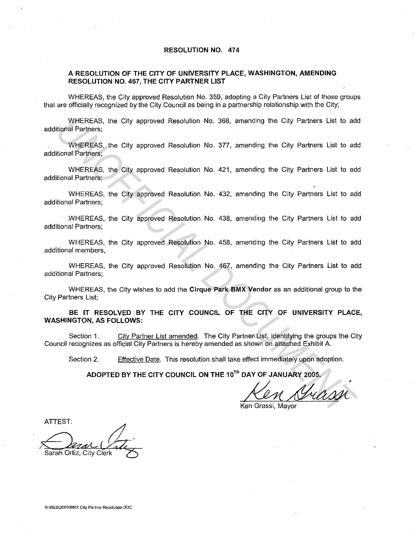#### **RESOLUTION NO. 474**

### **A RESOLUTION OF THE CITY OF UNIVERSITY PLACE, WASHINGTON, AMENDING RESOLUTION NO. 467, THE CITY PARTNER LIST**

WHEREAS, the City approved Resolution No. 359, adopting a City Partners List of those groups that are officially recognized by the City Council as being in a partnership relationship with the City;

WHEREAS, the City approved Resolution No. 368, amending the City Partners List to add additional Partners;

WHEREAS, the City approved Resolution No. 377, amending the City Partners List to add additional Partners; WHEREAS, the City approved Resolution No. 368, amending the City Partners List to add<br>idonal Partners;<br>WHEREAS, the City approved Resolution No. 377, amending the City Partners List to additional Partners;<br>WHEREAS, the Cit

WHEREAS, the City approved Resolution No. 421, amending the City Partners List to add additional Partners;

WHEREAS, the City approved Resolution No. 432, amending the City Partners List to add additional Partners;

WHEREAS, the City approved Resolution No. 438, amending the City Partners List to add additional Partners;

WHEREAS, the City approved Resolution No. 458, amending the City Partners List to add additional members,

WHEREAS, the City approved Resolution No. 467, amending the City Partners List to add additional Partners;

WHEREAS, the City wishes to add the **Cirque Park BMX Vendor** as an additional group to the City Partners List;

**BE IT RESOLVED BY THE CITY COUNCIL OF THE CITY OF UNIVERSITY PLACE, WASHINGTON, AS FOLLOWS:** 

Section 1. City Partner List amended. The City Partnen List, identifying the groups the City Council recognizes as official City Partners is hereby amended as shown on attached Exhibit A.

Section 2. Effective Date. This resolution shall take effect immediately upon adoption.

ADOPTED BY THE CITY COUNCIL ON THE 10<sup>TH</sup> DAY OF JANUARY 2005.

Prect immediately upon adoption.<br>DAY OF JANUARY 2005.<br>En Grassi, Mayor

Ken Grassi, Mavor

ATIEST:

Sarah Ortiz, City Clerk